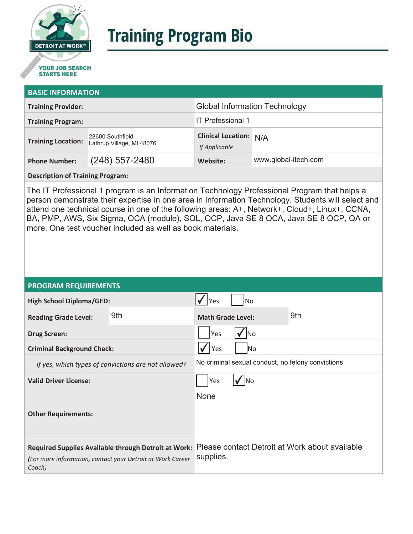

# **Training Program Bio**

## **STARTS HERE**

#### **BASIC INFORMATION**

| <b>Training Provider:</b> |                                               | <b>Global Information Technology</b>           |                      |  |
|---------------------------|-----------------------------------------------|------------------------------------------------|----------------------|--|
| <b>Training Program:</b>  |                                               | <b>IT Professional 1</b>                       |                      |  |
| <b>Training Location:</b> | 28600 Southfield<br>Lathrup Village, MI 48076 | <b>Clinical Location:</b> N/A<br>If Applicable |                      |  |
| <b>Phone Number:</b>      | $(248)$ 557-2480                              | Website:                                       | www.global-itech.com |  |

**Description of Training Program:** 

The IT Professional 1 program is an Information Technology Professional Program that helps a person demonstrate their expertise in one area in Information Technology. Students will select and attend one technical course in one of the following areas: A+, Network+, Cloud+, Linux+, CCNA, BA, PMP, AWS, Six Sigma, OCA (module), SQL, OCP, Java SE 8 OCA, Java SE 8 OCP, QA or more. One test voucher included as well as book materials.

#### **PROGRAM REQUIREMENTS**

| <b>High School Diploma/GED:</b>                                                                                              |     | No<br>Yes                                                   |  |  |
|------------------------------------------------------------------------------------------------------------------------------|-----|-------------------------------------------------------------|--|--|
| <b>Reading Grade Level:</b>                                                                                                  | 9th | 9th<br><b>Math Grade Level:</b>                             |  |  |
| <b>Drug Screen:</b>                                                                                                          |     | Yes<br>lNo                                                  |  |  |
| <b>Criminal Background Check:</b>                                                                                            |     | Yes<br>lNo                                                  |  |  |
| If yes, which types of convictions are not allowed?                                                                          |     | No criminal sexual conduct, no felony convictions           |  |  |
| <b>Valid Driver License:</b>                                                                                                 |     | Yes<br><b>INo</b>                                           |  |  |
| <b>Other Requirements:</b>                                                                                                   |     | <b>None</b>                                                 |  |  |
| Required Supplies Available through Detroit at Work:<br>(For more information, contact your Detroit at Work Career<br>Coach) |     | Please contact Detroit at Work about available<br>supplies. |  |  |